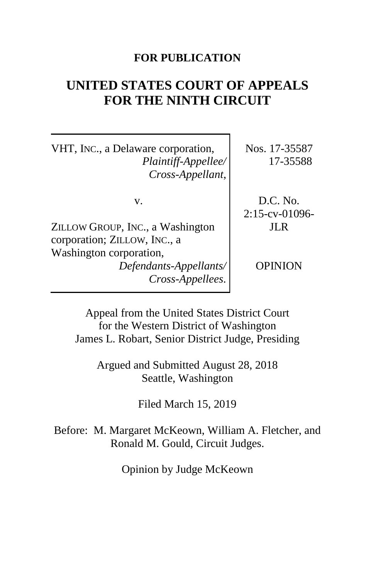## **FOR PUBLICATION**

# **UNITED STATES COURT OF APPEALS FOR THE NINTH CIRCUIT**

VHT, INC., a Delaware corporation, *Plaintiff-Appellee/ Cross-Appellant*,

v.

ZILLOW GROUP, INC., a Washington corporation; ZILLOW, INC., a Washington corporation, *Defendants-Appellants/ Cross-Appellees*. Nos. 17-35587 17-35588

D.C. No. 2:15-cv-01096- JLR

**OPINION** 

Appeal from the United States District Court for the Western District of Washington James L. Robart, Senior District Judge, Presiding

Argued and Submitted August 28, 2018 Seattle, Washington

Filed March 15, 2019

Before: M. Margaret McKeown, William A. Fletcher, and Ronald M. Gould, Circuit Judges.

Opinion by Judge McKeown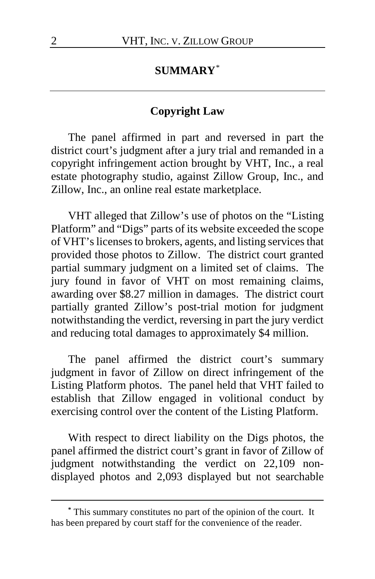# **SUMMARY**[\\*](#page-1-0)

#### **Copyright Law**

The panel affirmed in part and reversed in part the district court's judgment after a jury trial and remanded in a copyright infringement action brought by VHT, Inc., a real estate photography studio, against Zillow Group, Inc., and Zillow, Inc., an online real estate marketplace.

VHT alleged that Zillow's use of photos on the "Listing Platform" and "Digs" parts of its website exceeded the scope of VHT's licenses to brokers, agents, and listing services that provided those photos to Zillow. The district court granted partial summary judgment on a limited set of claims. The jury found in favor of VHT on most remaining claims, awarding over \$8.27 million in damages. The district court partially granted Zillow's post-trial motion for judgment notwithstanding the verdict, reversing in part the jury verdict and reducing total damages to approximately \$4 million.

The panel affirmed the district court's summary judgment in favor of Zillow on direct infringement of the Listing Platform photos. The panel held that VHT failed to establish that Zillow engaged in volitional conduct by exercising control over the content of the Listing Platform.

With respect to direct liability on the Digs photos, the panel affirmed the district court's grant in favor of Zillow of judgment notwithstanding the verdict on 22,109 nondisplayed photos and 2,093 displayed but not searchable

<span id="page-1-0"></span>**<sup>\*</sup>** This summary constitutes no part of the opinion of the court. It has been prepared by court staff for the convenience of the reader.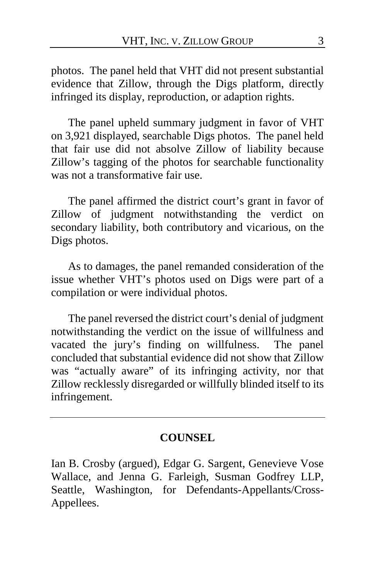photos. The panel held that VHT did not present substantial evidence that Zillow, through the Digs platform, directly infringed its display, reproduction, or adaption rights.

The panel upheld summary judgment in favor of VHT on 3,921 displayed, searchable Digs photos. The panel held that fair use did not absolve Zillow of liability because Zillow's tagging of the photos for searchable functionality was not a transformative fair use.

The panel affirmed the district court's grant in favor of Zillow of judgment notwithstanding the verdict on secondary liability, both contributory and vicarious, on the Digs photos.

As to damages, the panel remanded consideration of the issue whether VHT's photos used on Digs were part of a compilation or were individual photos.

The panel reversed the district court's denial of judgment notwithstanding the verdict on the issue of willfulness and vacated the jury's finding on willfulness. The panel concluded that substantial evidence did not show that Zillow was "actually aware" of its infringing activity, nor that Zillow recklessly disregarded or willfully blinded itself to its infringement.

#### **COUNSEL**

Ian B. Crosby (argued), Edgar G. Sargent, Genevieve Vose Wallace, and Jenna G. Farleigh, Susman Godfrey LLP, Seattle, Washington, for Defendants-Appellants/Cross-Appellees.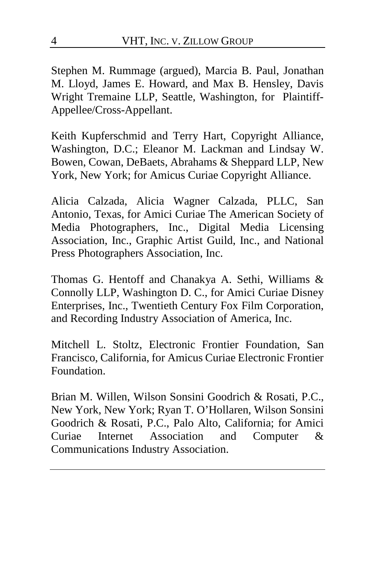Stephen M. Rummage (argued), Marcia B. Paul, Jonathan M. Lloyd, James E. Howard, and Max B. Hensley, Davis Wright Tremaine LLP, Seattle, Washington, for Plaintiff-Appellee/Cross-Appellant.

Keith Kupferschmid and Terry Hart, Copyright Alliance, Washington, D.C.; Eleanor M. Lackman and Lindsay W. Bowen, Cowan, DeBaets, Abrahams & Sheppard LLP, New York, New York; for Amicus Curiae Copyright Alliance.

Alicia Calzada, Alicia Wagner Calzada, PLLC, San Antonio, Texas, for Amici Curiae The American Society of Media Photographers, Inc., Digital Media Licensing Association, Inc., Graphic Artist Guild, Inc., and National Press Photographers Association, Inc.

Thomas G. Hentoff and Chanakya A. Sethi, Williams & Connolly LLP, Washington D. C., for Amici Curiae Disney Enterprises, Inc., Twentieth Century Fox Film Corporation, and Recording Industry Association of America, Inc.

Mitchell L. Stoltz, Electronic Frontier Foundation, San Francisco, California, for Amicus Curiae Electronic Frontier Foundation.

Brian M. Willen, Wilson Sonsini Goodrich & Rosati, P.C., New York, New York; Ryan T. O'Hollaren, Wilson Sonsini Goodrich & Rosati, P.C., Palo Alto, California; for Amici Curiae Internet Association and Computer & Communications Industry Association.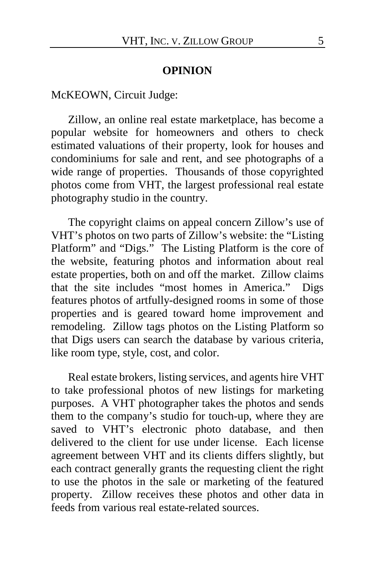#### **OPINION**

McKEOWN, Circuit Judge:

Zillow, an online real estate marketplace, has become a popular website for homeowners and others to check estimated valuations of their property, look for houses and condominiums for sale and rent, and see photographs of a wide range of properties. Thousands of those copyrighted photos come from VHT, the largest professional real estate photography studio in the country.

The copyright claims on appeal concern Zillow's use of VHT's photos on two parts of Zillow's website: the "Listing Platform" and "Digs." The Listing Platform is the core of the website, featuring photos and information about real estate properties, both on and off the market. Zillow claims that the site includes "most homes in America." Digs features photos of artfully-designed rooms in some of those properties and is geared toward home improvement and remodeling. Zillow tags photos on the Listing Platform so that Digs users can search the database by various criteria, like room type, style, cost, and color.

Real estate brokers, listing services, and agents hire VHT to take professional photos of new listings for marketing purposes. A VHT photographer takes the photos and sends them to the company's studio for touch-up, where they are saved to VHT's electronic photo database, and then delivered to the client for use under license. Each license agreement between VHT and its clients differs slightly, but each contract generally grants the requesting client the right to use the photos in the sale or marketing of the featured property.Zillow receives these photos and other data in feeds from various real estate-related sources.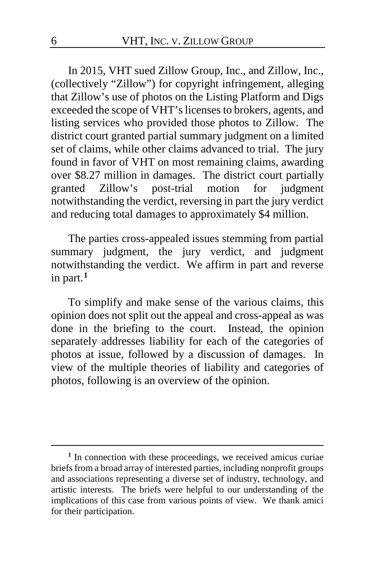In 2015, VHT sued Zillow Group, Inc., and Zillow, Inc., (collectively "Zillow") for copyright infringement, alleging that Zillow's use of photos on the Listing Platform and Digs exceeded the scope of VHT's licenses to brokers, agents, and listing services who provided those photos to Zillow. The district court granted partial summary judgment on a limited set of claims, while other claims advanced to trial. The jury found in favor of VHT on most remaining claims, awarding over \$8.27 million in damages. The district court partially granted Zillow's post-trial motion for judgment notwithstanding the verdict, reversing in part the jury verdict and reducing total damages to approximately \$4 million.

The parties cross-appealed issues stemming from partial summary judgment, the jury verdict, and judgment notwithstanding the verdict.We affirm in part and reverse in part.**[1](#page-5-0)**

To simplify and make sense of the various claims, this opinion does not split out the appeal and cross-appeal as was done in the briefing to the court. Instead, the opinion separately addresses liability for each of the categories of photos at issue, followed by a discussion of damages. In view of the multiple theories of liability and categories of photos, following is an overview of the opinion.

<span id="page-5-0"></span><sup>&</sup>lt;sup>1</sup> In connection with these proceedings, we received amicus curiae briefs from a broad array of interested parties, including nonprofit groups and associations representing a diverse set of industry, technology, and artistic interests. The briefs were helpful to our understanding of the implications of this case from various points of view. We thank amici for their participation.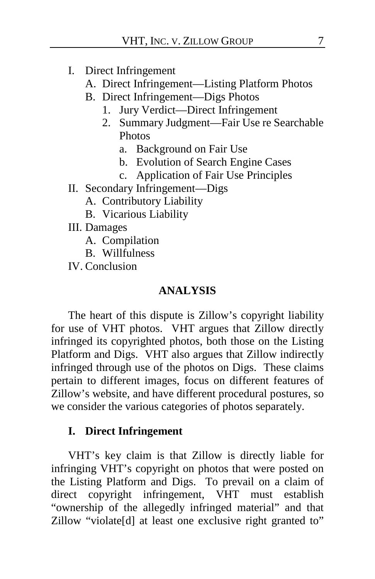- I. Direct Infringement
	- A. Direct Infringement—Listing Platform Photos
	- B. Direct Infringement—Digs Photos
		- 1. Jury Verdict—Direct Infringement
		- 2. Summary Judgment—Fair Use re Searchable Photos
			- a. Background on Fair Use
			- b. Evolution of Search Engine Cases
			- c. Application of Fair Use Principles
- II. Secondary Infringement—Digs
	- A. Contributory Liability
	- B. Vicarious Liability
- III. Damages
	- A. Compilation
	- B. Willfulness

IV. Conclusion

#### **ANALYSIS**

The heart of this dispute is Zillow's copyright liability for use of VHT photos. VHT argues that Zillow directly infringed its copyrighted photos, both those on the Listing Platform and Digs. VHT also argues that Zillow indirectly infringed through use of the photos on Digs. These claims pertain to different images, focus on different features of Zillow's website, and have different procedural postures, so we consider the various categories of photos separately.

# **I. Direct Infringement**

VHT's key claim is that Zillow is directly liable for infringing VHT's copyright on photos that were posted on the Listing Platform and Digs. To prevail on a claim of direct copyright infringement, VHT must establish "ownership of the allegedly infringed material" and that Zillow "violate[d] at least one exclusive right granted to"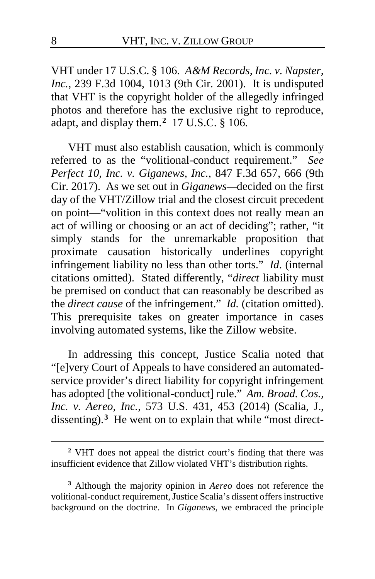VHT under 17 U.S.C. § 106. *A&M Records, Inc. v. Napster, Inc.*, 239 F.3d 1004, 1013 (9th Cir. 2001). It is undisputed that VHT is the copyright holder of the allegedly infringed photos and therefore has the exclusive right to reproduce, adapt, and display them.**[2](#page-7-0)** 17 U.S.C. § 106.

VHT must also establish causation, which is commonly referred to as the "volitional-conduct requirement." *See Perfect 10, Inc. v. Giganews, Inc.*, 847 F.3d 657, 666 (9th Cir. 2017). As we set out in *Giganews—*decided on the first day of the VHT/Zillow trial and the closest circuit precedent on point—"volition in this context does not really mean an act of willing or choosing or an act of deciding"; rather, "it simply stands for the unremarkable proposition that proximate causation historically underlines copyright infringement liability no less than other torts." *Id*. (internal citations omitted). Stated differently, "*direct* liability must be premised on conduct that can reasonably be described as the *direct cause* of the infringement." *Id.* (citation omitted). This prerequisite takes on greater importance in cases involving automated systems, like the Zillow website.

In addressing this concept, Justice Scalia noted that "[e]very Court of Appeals to have considered an automatedservice provider's direct liability for copyright infringement has adopted [the volitional-conduct] rule." *Am. Broad. Cos., Inc. v. Aereo, Inc.*, 573 U.S. 431, 453 (2014) (Scalia, J., dissenting).**[3](#page-7-1)** He went on to explain that while "most direct-

<span id="page-7-0"></span>**<sup>2</sup>** VHT does not appeal the district court's finding that there was insufficient evidence that Zillow violated VHT's distribution rights.

<span id="page-7-1"></span>**<sup>3</sup>** Although the majority opinion in *Aereo* does not reference the volitional-conduct requirement, Justice Scalia's dissent offers instructive background on the doctrine. In *Giganews*, we embraced the principle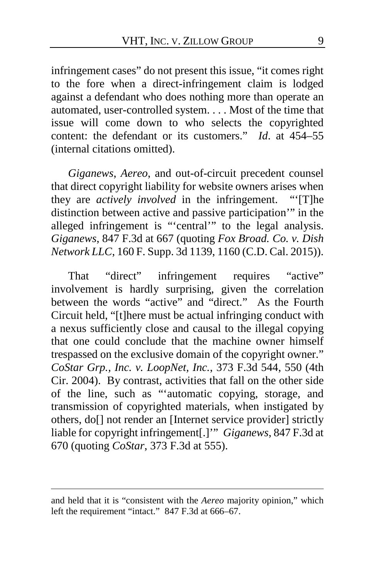infringement cases" do not present this issue, "it comes right to the fore when a direct-infringement claim is lodged against a defendant who does nothing more than operate an automated, user-controlled system. . . . Most of the time that issue will come down to who selects the copyrighted content: the defendant or its customers." *Id*. at 454–55 (internal citations omitted).

*Giganews*, *Aereo*, and out-of-circuit precedent counsel that direct copyright liability for website owners arises when they are *actively involved* in the infringement. "'[T]he distinction between active and passive participation'" in the alleged infringement is "'central'" to the legal analysis. *Giganews*, 847 F.3d at 667 (quoting *Fox Broad. Co. v. Dish Network LLC*, 160 F. Supp. 3d 1139, 1160 (C.D. Cal. 2015)).

That "direct" infringement requires "active" involvement is hardly surprising, given the correlation between the words "active" and "direct." As the Fourth Circuit held, "[t]here must be actual infringing conduct with a nexus sufficiently close and causal to the illegal copying that one could conclude that the machine owner himself trespassed on the exclusive domain of the copyright owner." *CoStar Grp., Inc. v. LoopNet, Inc.*, 373 F.3d 544, 550 (4th Cir. 2004). By contrast, activities that fall on the other side of the line, such as "'automatic copying, storage, and transmission of copyrighted materials, when instigated by others, do[] not render an [Internet service provider] strictly liable for copyright infringement[.]'" *Giganews*, 847 F.3d at 670 (quoting *CoStar*, 373 F.3d at 555).

and held that it is "consistent with the *Aereo* majority opinion," which left the requirement "intact." 847 F.3d at 666–67.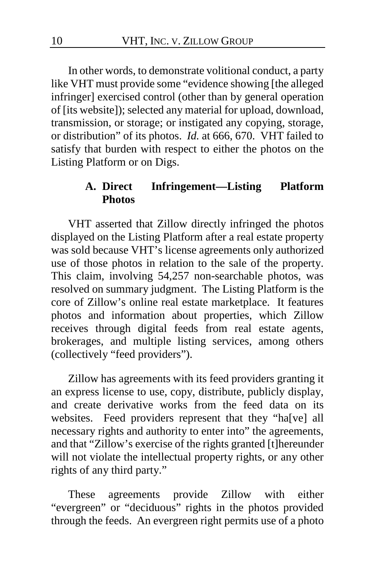In other words, to demonstrate volitional conduct, a party like VHT must provide some "evidence showing [the alleged infringer] exercised control (other than by general operation of [its website]); selected any material for upload, download, transmission, or storage; or instigated any copying, storage, or distribution" of its photos. *Id.* at 666, 670. VHT failed to satisfy that burden with respect to either the photos on the Listing Platform or on Digs.

#### **A. Direct Infringement—Listing Platform Photos**

VHT asserted that Zillow directly infringed the photos displayed on the Listing Platform after a real estate property was sold because VHT's license agreements only authorized use of those photos in relation to the sale of the property. This claim, involving 54,257 non-searchable photos, was resolved on summary judgment. The Listing Platform is the core of Zillow's online real estate marketplace. It features photos and information about properties, which Zillow receives through digital feeds from real estate agents, brokerages, and multiple listing services, among others (collectively "feed providers").

Zillow has agreements with its feed providers granting it an express license to use, copy, distribute, publicly display, and create derivative works from the feed data on its websites.Feed providers represent that they "ha[ve] all necessary rights and authority to enter into" the agreements, and that "Zillow's exercise of the rights granted [t]hereunder will not violate the intellectual property rights, or any other rights of any third party."

These agreements provide Zillow with either "evergreen" or "deciduous" rights in the photos provided through the feeds. An evergreen right permits use of a photo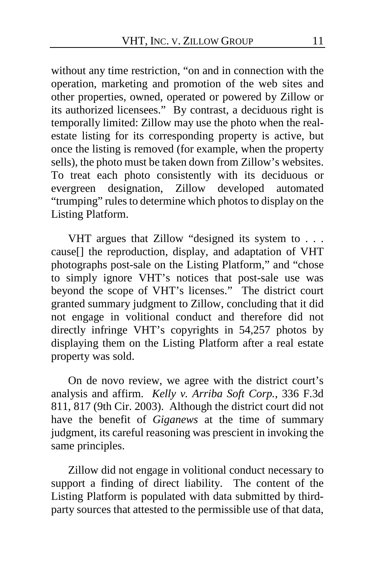without any time restriction, "on and in connection with the operation, marketing and promotion of the web sites and other properties, owned, operated or powered by Zillow or its authorized licensees." By contrast, a deciduous right is temporally limited: Zillow may use the photo when the realestate listing for its corresponding property is active, but once the listing is removed (for example, when the property sells), the photo must be taken down from Zillow's websites. To treat each photo consistently with its deciduous or evergreen designation, Zillow developed automated "trumping" rules to determine which photos to display on the Listing Platform.

VHT argues that Zillow "designed its system to . . . cause[] the reproduction, display, and adaptation of VHT photographs post-sale on the Listing Platform," and "chose to simply ignore VHT's notices that post-sale use was beyond the scope of VHT's licenses." The district court granted summary judgment to Zillow, concluding that it did not engage in volitional conduct and therefore did not directly infringe VHT's copyrights in 54,257 photos by displaying them on the Listing Platform after a real estate property was sold.

On de novo review, we agree with the district court's analysis and affirm. *Kelly v. Arriba Soft Corp.*, 336 F.3d 811, 817 (9th Cir. 2003). Although the district court did not have the benefit of *Giganews* at the time of summary judgment, its careful reasoning was prescient in invoking the same principles.

Zillow did not engage in volitional conduct necessary to support a finding of direct liability. The content of the Listing Platform is populated with data submitted by thirdparty sources that attested to the permissible use of that data,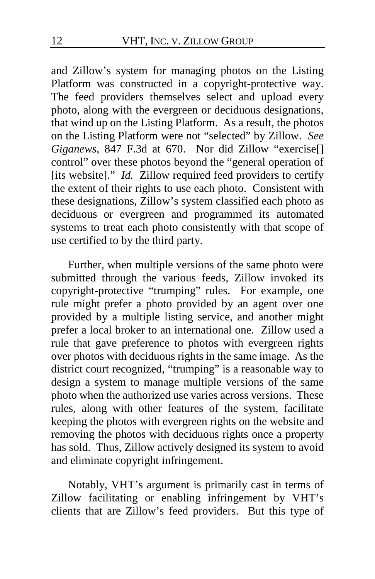and Zillow's system for managing photos on the Listing Platform was constructed in a copyright-protective way. The feed providers themselves select and upload every photo, along with the evergreen or deciduous designations, that wind up on the Listing Platform.As a result, the photos on the Listing Platform were not "selected" by Zillow. *See Giganews*, 847 F.3d at 670. Nor did Zillow "exercise[] control" over these photos beyond the "general operation of [its website]." *Id.* Zillow required feed providers to certify the extent of their rights to use each photo.Consistent with these designations, Zillow's system classified each photo as deciduous or evergreen and programmed its automated systems to treat each photo consistently with that scope of use certified to by the third party.

Further, when multiple versions of the same photo were submitted through the various feeds, Zillow invoked its copyright-protective "trumping" rules.For example, one rule might prefer a photo provided by an agent over one provided by a multiple listing service, and another might prefer a local broker to an international one. Zillow used a rule that gave preference to photos with evergreen rights over photos with deciduous rights in the same image.As the district court recognized, "trumping" is a reasonable way to design a system to manage multiple versions of the same photo when the authorized use varies across versions.These rules, along with other features of the system, facilitate keeping the photos with evergreen rights on the website and removing the photos with deciduous rights once a property has sold.Thus, Zillow actively designed its system to avoid and eliminate copyright infringement.

Notably, VHT's argument is primarily cast in terms of Zillow facilitating or enabling infringement by VHT's clients that are Zillow's feed providers. But this type of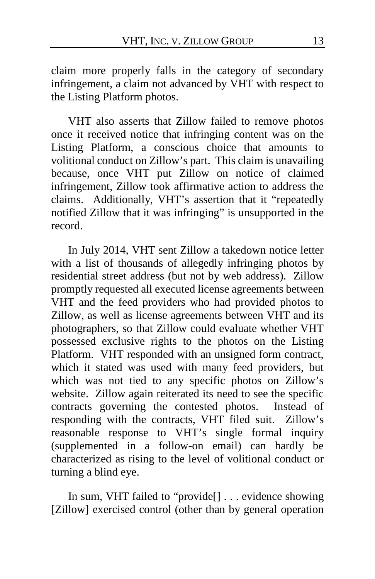claim more properly falls in the category of secondary infringement, a claim not advanced by VHT with respect to the Listing Platform photos.

VHT also asserts that Zillow failed to remove photos once it received notice that infringing content was on the Listing Platform, a conscious choice that amounts to volitional conduct on Zillow's part.This claim is unavailing because, once VHT put Zillow on notice of claimed infringement, Zillow took affirmative action to address the claims. Additionally, VHT's assertion that it "repeatedly notified Zillow that it was infringing" is unsupported in the record.

In July 2014, VHT sent Zillow a takedown notice letter with a list of thousands of allegedly infringing photos by residential street address (but not by web address). Zillow promptly requested all executed license agreements between VHT and the feed providers who had provided photos to Zillow, as well as license agreements between VHT and its photographers, so that Zillow could evaluate whether VHT possessed exclusive rights to the photos on the Listing Platform. VHT responded with an unsigned form contract, which it stated was used with many feed providers, but which was not tied to any specific photos on Zillow's website.Zillow again reiterated its need to see the specific contracts governing the contested photos. Instead of responding with the contracts, VHT filed suit.Zillow's reasonable response to VHT's single formal inquiry (supplemented in a follow-on email) can hardly be characterized as rising to the level of volitional conduct or turning a blind eye.

In sum, VHT failed to "provide[] . . . evidence showing [Zillow] exercised control (other than by general operation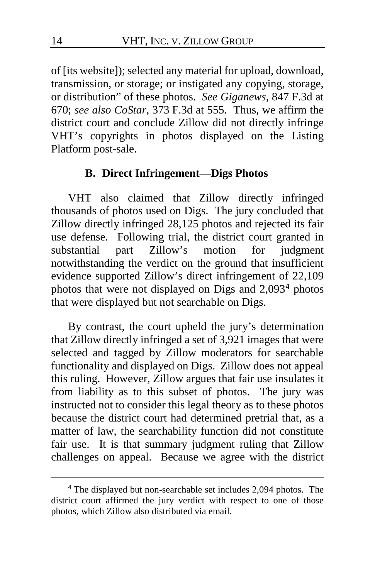of [its website]); selected any material for upload, download, transmission, or storage; or instigated any copying, storage, or distribution" of these photos. *See Giganews*, 847 F.3d at 670; *see also CoStar*, 373 F.3d at 555. Thus, we affirm the district court and conclude Zillow did not directly infringe VHT's copyrights in photos displayed on the Listing Platform post-sale.

#### **B. Direct Infringement—Digs Photos**

VHT also claimed that Zillow directly infringed thousands of photos used on Digs. The jury concluded that Zillow directly infringed 28,125 photos and rejected its fair use defense.Following trial, the district court granted in substantial part Zillow's motion for judgment notwithstanding the verdict on the ground that insufficient evidence supported Zillow's direct infringement of 22,109 photos that were not displayed on Digs and 2,093**[4](#page-13-0)** photos that were displayed but not searchable on Digs.

By contrast, the court upheld the jury's determination that Zillow directly infringed a set of 3,921 images that were selected and tagged by Zillow moderators for searchable functionality and displayed on Digs. Zillow does not appeal this ruling.However, Zillow argues that fair use insulates it from liability as to this subset of photos.The jury was instructed not to consider this legal theory as to these photos because the district court had determined pretrial that, as a matter of law, the searchability function did not constitute fair use. It is that summary judgment ruling that Zillow challenges on appeal. Because we agree with the district

<span id="page-13-0"></span>**<sup>4</sup>** The displayed but non-searchable set includes 2,094 photos. The district court affirmed the jury verdict with respect to one of those photos, which Zillow also distributed via email.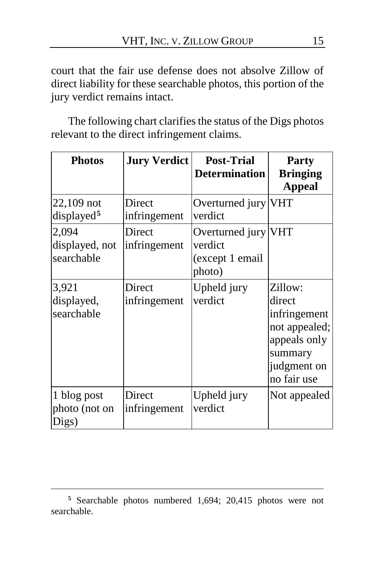court that the fair use defense does not absolve Zillow of direct liability for these searchable photos, this portion of the jury verdict remains intact.

The following chart clarifies the status of the Digs photos relevant to the direct infringement claims.

| <b>Photos</b>                          | <b>Jury Verdict</b>    | <b>Post-Trial</b><br><b>Determination</b>                   | <b>Party</b><br><b>Bringing</b><br><b>Appeal</b>                                                            |
|----------------------------------------|------------------------|-------------------------------------------------------------|-------------------------------------------------------------------------------------------------------------|
| $22,109$ not<br>displayed <sup>5</sup> | Direct<br>infringement | Overturned jury VHT<br>verdict                              |                                                                                                             |
| 2,094<br>displayed, not<br>searchable  | Direct<br>infringement | Overturned jury VHT<br>verdict<br>(except 1 email<br>photo) |                                                                                                             |
| 3,921<br>displayed,<br>searchable      | Direct<br>infringement | Upheld jury<br>verdict                                      | Zillow:<br>direct<br>infringement<br>not appealed;<br>appeals only<br>summary<br>judgment on<br>no fair use |
| 1 blog post<br>photo (not on<br>Digs)  | Direct<br>infringement | Upheld jury<br>verdict                                      | Not appealed                                                                                                |

<span id="page-14-0"></span>**<sup>5</sup>** Searchable photos numbered 1,694; 20,415 photos were not searchable.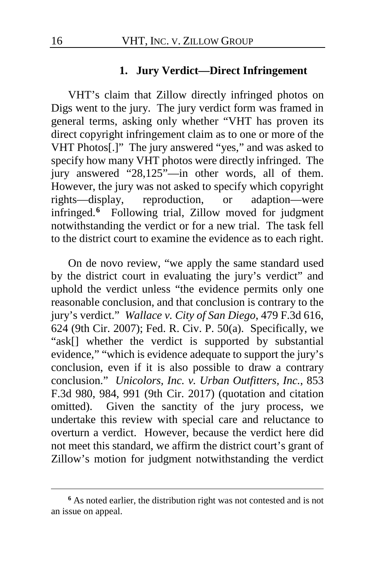#### **1. Jury Verdict—Direct Infringement**

VHT's claim that Zillow directly infringed photos on Digs went to the jury. The jury verdict form was framed in general terms, asking only whether "VHT has proven its direct copyright infringement claim as to one or more of the VHT Photos[.]" The jury answered "yes," and was asked to specify how many VHT photos were directly infringed. The jury answered "28,125"—in other words, all of them. However, the jury was not asked to specify which copyright<br>rights—display, reproduction, or adaption—were rights—display, reproduction, or adaption—were infringed.**[6](#page-15-0)** Following trial, Zillow moved for judgment notwithstanding the verdict or for a new trial.The task fell to the district court to examine the evidence as to each right.

On de novo review, "we apply the same standard used by the district court in evaluating the jury's verdict" and uphold the verdict unless "the evidence permits only one reasonable conclusion, and that conclusion is contrary to the jury's verdict." *Wallace v. City of San Diego*, 479 F.3d 616, 624 (9th Cir. 2007); Fed. R. Civ. P. 50(a). Specifically, we "ask[] whether the verdict is supported by substantial evidence," "which is evidence adequate to support the jury's conclusion, even if it is also possible to draw a contrary conclusion." *Unicolors, Inc. v. Urban Outfitters, Inc.*, 853 F.3d 980, 984, 991 (9th Cir. 2017) (quotation and citation omitted). Given the sanctity of the jury process, we undertake this review with special care and reluctance to overturn a verdict. However, because the verdict here did not meet this standard, we affirm the district court's grant of Zillow's motion for judgment notwithstanding the verdict

<span id="page-15-0"></span>**<sup>6</sup>** As noted earlier, the distribution right was not contested and is not an issue on appeal.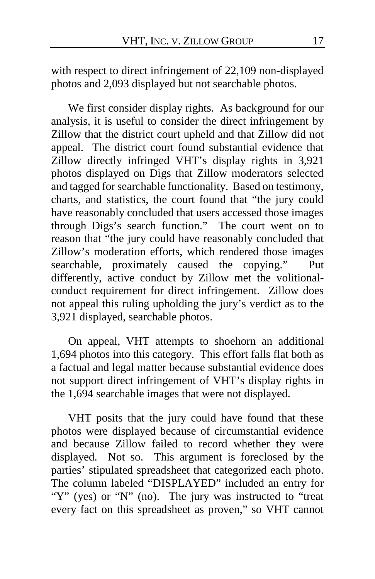with respect to direct infringement of 22,109 non-displayed photos and 2,093 displayed but not searchable photos.

We first consider display rights. As background for our analysis, it is useful to consider the direct infringement by Zillow that the district court upheld and that Zillow did not appeal. The district court found substantial evidence that Zillow directly infringed VHT's display rights in 3,921 photos displayed on Digs that Zillow moderators selected and tagged for searchable functionality.Based on testimony, charts, and statistics, the court found that "the jury could have reasonably concluded that users accessed those images through Digs's search function."The court went on to reason that "the jury could have reasonably concluded that Zillow's moderation efforts, which rendered those images searchable, proximately caused the copying."Put differently, active conduct by Zillow met the volitionalconduct requirement for direct infringement. Zillow does not appeal this ruling upholding the jury's verdict as to the 3,921 displayed, searchable photos.

On appeal, VHT attempts to shoehorn an additional 1,694 photos into this category.This effort falls flat both as a factual and legal matter because substantial evidence does not support direct infringement of VHT's display rights in the 1,694 searchable images that were not displayed.

VHT posits that the jury could have found that these photos were displayed because of circumstantial evidence and because Zillow failed to record whether they were displayed.Not so. This argument is foreclosed by the parties' stipulated spreadsheet that categorized each photo. The column labeled "DISPLAYED" included an entry for "Y" (yes) or "N" (no). The jury was instructed to "treat every fact on this spreadsheet as proven," so VHT cannot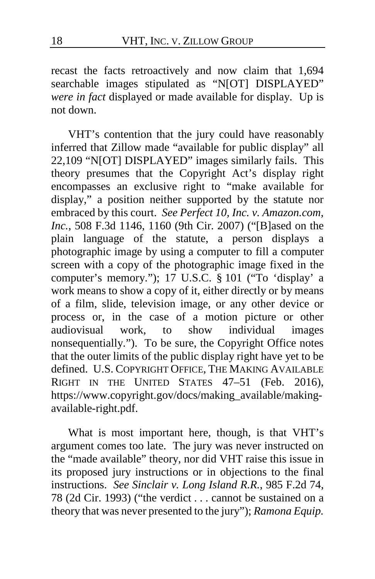recast the facts retroactively and now claim that 1,694 searchable images stipulated as "N[OT] DISPLAYED" *were in fact* displayed or made available for display.Up is not down.

VHT's contention that the jury could have reasonably inferred that Zillow made "available for public display" all 22,109 "N[OT] DISPLAYED" images similarly fails. This theory presumes that the Copyright Act's display right encompasses an exclusive right to "make available for display," a position neither supported by the statute nor embraced by this court. *See Perfect 10, Inc. v. Amazon.com, Inc.*, 508 F.3d 1146, 1160 (9th Cir. 2007) ("[B]ased on the plain language of the statute, a person displays a photographic image by using a computer to fill a computer screen with a copy of the photographic image fixed in the computer's memory."); 17 U.S.C. § 101 ("To 'display' a work means to show a copy of it, either directly or by means of a film, slide, television image, or any other device or process or, in the case of a motion picture or other audiovisual work, to show individual images work, to show individual images nonsequentially."). To be sure, the Copyright Office notes that the outer limits of the public display right have yet to be defined. U.S. COPYRIGHT OFFICE, THE MAKING AVAILABLE RIGHT IN THE UNITED STATES 47–51 (Feb. 2016), https://www.copyright.gov/docs/making\_available/makingavailable-right.pdf.

What is most important here, though, is that VHT's argument comes too late. The jury was never instructed on the "made available" theory, nor did VHT raise this issue in its proposed jury instructions or in objections to the final instructions. *See Sinclair v. Long Island R.R.*, 985 F.2d 74, 78 (2d Cir. 1993) ("the verdict . . . cannot be sustained on a theory that was never presented to the jury"); *Ramona Equip.*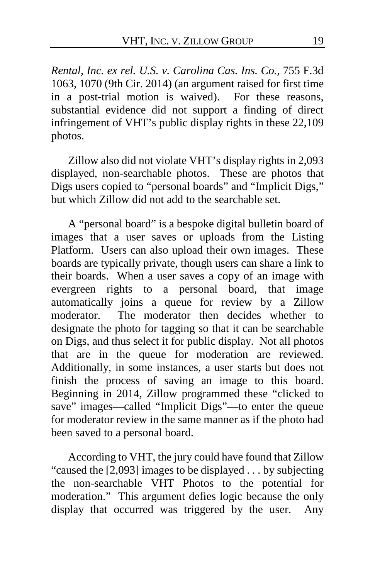*Rental, Inc. ex rel. U.S. v. Carolina Cas. Ins. Co.*, 755 F.3d 1063, 1070 (9th Cir. 2014) (an argument raised for first time in a post-trial motion is waived).For these reasons, substantial evidence did not support a finding of direct infringement of VHT's public display rights in these 22,109 photos.

Zillow also did not violate VHT's display rights in 2,093 displayed, non-searchable photos. These are photos that Digs users copied to "personal boards" and "Implicit Digs," but which Zillow did not add to the searchable set.

A "personal board" is a bespoke digital bulletin board of images that a user saves or uploads from the Listing Platform. Users can also upload their own images.These boards are typically private, though users can share a link to their boards. When a user saves a copy of an image with evergreen rights to a personal board, that image automatically joins a queue for review by a Zillow moderator. The moderator then decides whether to designate the photo for tagging so that it can be searchable on Digs, and thus select it for public display. Not all photos that are in the queue for moderation are reviewed. Additionally, in some instances, a user starts but does not finish the process of saving an image to this board. Beginning in 2014, Zillow programmed these "clicked to save" images—called "Implicit Digs"—to enter the queue for moderator review in the same manner as if the photo had been saved to a personal board.

According to VHT, the jury could have found that Zillow "caused the [2,093] images to be displayed . . . by subjecting the non-searchable VHT Photos to the potential for moderation." This argument defies logic because the only display that occurred was triggered by the user. Any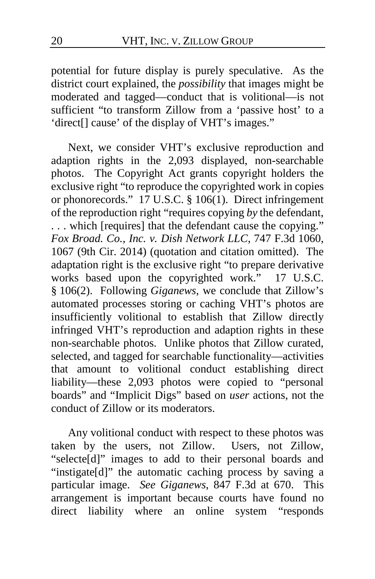potential for future display is purely speculative. As the district court explained, the *possibility* that images might be moderated and tagged—conduct that is volitional—is not sufficient "to transform Zillow from a 'passive host' to a 'direct[] cause' of the display of VHT's images."

Next, we consider VHT's exclusive reproduction and adaption rights in the 2,093 displayed, non-searchable photos. The Copyright Act grants copyright holders the exclusive right "to reproduce the copyrighted work in copies or phonorecords." 17 U.S.C. § 106(1). Direct infringement of the reproduction right "requires copying *by* the defendant, . . . which [requires] that the defendant cause the copying." *Fox Broad. Co., Inc. v. Dish Network LLC*, 747 F.3d 1060, 1067 (9th Cir. 2014) (quotation and citation omitted). The adaptation right is the exclusive right "to prepare derivative works based upon the copyrighted work." 17 U.S.C. § 106(2). Following *Giganews*, we conclude that Zillow's automated processes storing or caching VHT's photos are insufficiently volitional to establish that Zillow directly infringed VHT's reproduction and adaption rights in these non-searchable photos. Unlike photos that Zillow curated, selected, and tagged for searchable functionality—activities that amount to volitional conduct establishing direct liability—these 2,093 photos were copied to "personal boards" and "Implicit Digs" based on *user* actions, not the conduct of Zillow or its moderators.

Any volitional conduct with respect to these photos was taken by the users, not Zillow. Users, not Zillow, "selecte[d]" images to add to their personal boards and "instigate[d]" the automatic caching process by saving a particular image. *See Giganews*, 847 F.3d at 670.This arrangement is important because courts have found no direct liability where an online system "responds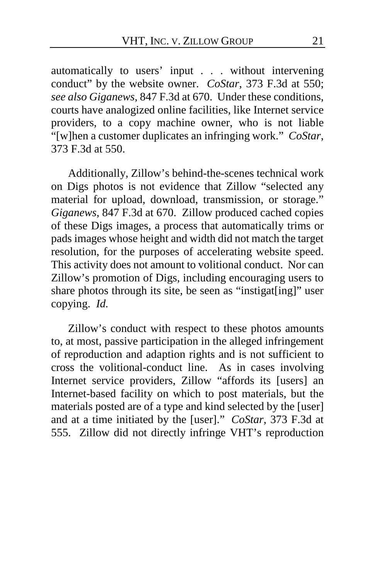automatically to users' input . . . without intervening conduct" by the website owner. *CoStar*, 373 F.3d at 550; *see also Giganews*, 847 F.3d at 670. Under these conditions, courts have analogized online facilities, like Internet service providers, to a copy machine owner, who is not liable "[w]hen a customer duplicates an infringing work." *CoStar*, 373 F.3d at 550.

Additionally, Zillow's behind-the-scenes technical work on Digs photos is not evidence that Zillow "selected any material for upload, download, transmission, or storage." *Giganews*, 847 F.3d at 670. Zillow produced cached copies of these Digs images, a process that automatically trims or pads images whose height and width did not match the target resolution, for the purposes of accelerating website speed. This activity does not amount to volitional conduct. Nor can Zillow's promotion of Digs, including encouraging users to share photos through its site, be seen as "instigat[ing]" user copying. *Id.* 

Zillow's conduct with respect to these photos amounts to, at most, passive participation in the alleged infringement of reproduction and adaption rights and is not sufficient to cross the volitional-conduct line. As in cases involving Internet service providers, Zillow "affords its [users] an Internet-based facility on which to post materials, but the materials posted are of a type and kind selected by the [user] and at a time initiated by the [user]." *CoStar*, 373 F.3d at 555. Zillow did not directly infringe VHT's reproduction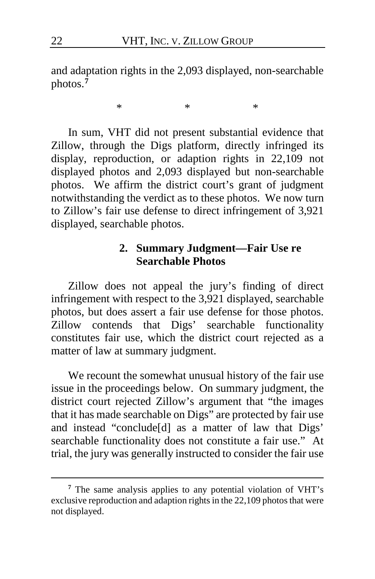and adaptation rights in the 2,093 displayed, non-searchable photos.**[7](#page-21-0)**

\* \* \*

In sum, VHT did not present substantial evidence that Zillow, through the Digs platform, directly infringed its display, reproduction, or adaption rights in 22,109 not displayed photos and 2,093 displayed but non-searchable photos. We affirm the district court's grant of judgment notwithstanding the verdict as to these photos. We now turn to Zillow's fair use defense to direct infringement of 3,921 displayed, searchable photos.

# **2. Summary Judgment—Fair Use re Searchable Photos**

Zillow does not appeal the jury's finding of direct infringement with respect to the 3,921 displayed, searchable photos, but does assert a fair use defense for those photos. Zillow contends that Digs' searchable functionality constitutes fair use, which the district court rejected as a matter of law at summary judgment.

We recount the somewhat unusual history of the fair use issue in the proceedings below. On summary judgment, the district court rejected Zillow's argument that "the images that it has made searchable on Digs" are protected by fair use and instead "conclude[d] as a matter of law that Digs' searchable functionality does not constitute a fair use."At trial, the jury was generally instructed to consider the fair use

<span id="page-21-0"></span>**<sup>7</sup>** The same analysis applies to any potential violation of VHT's exclusive reproduction and adaption rights in the 22,109 photos that were not displayed.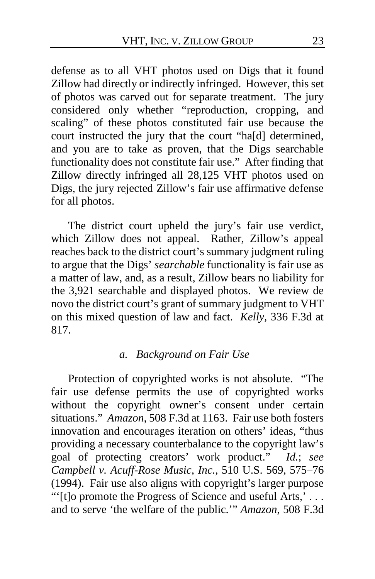defense as to all VHT photos used on Digs that it found Zillow had directly or indirectly infringed. However, this set of photos was carved out for separate treatment. The jury considered only whether "reproduction, cropping, and scaling" of these photos constituted fair use because the court instructed the jury that the court "ha[d] determined, and you are to take as proven, that the Digs searchable functionality does not constitute fair use." After finding that Zillow directly infringed all 28,125 VHT photos used on Digs, the jury rejected Zillow's fair use affirmative defense for all photos.

The district court upheld the jury's fair use verdict, which Zillow does not appeal. Rather, Zillow's appeal reaches back to the district court's summary judgment ruling to argue that the Digs' *searchable* functionality is fair use as a matter of law, and, as a result, Zillow bears no liability for the 3,921 searchable and displayed photos.We review de novo the district court's grant of summary judgment to VHT on this mixed question of law and fact. *Kelly*, 336 F.3d at 817.

#### *a. Background on Fair Use*

Protection of copyrighted works is not absolute. "The fair use defense permits the use of copyrighted works without the copyright owner's consent under certain situations." *Amazon*, 508 F.3d at 1163. Fair use both fosters innovation and encourages iteration on others' ideas, "thus providing a necessary counterbalance to the copyright law's goal of protecting creators' work product." *Id.*; *see Campbell v. Acuff-Rose Music, Inc.*, 510 U.S. 569, 575–76 (1994). Fair use also aligns with copyright's larger purpose "'[t]o promote the Progress of Science and useful Arts,' . . . and to serve 'the welfare of the public.'" *Amazon*, 508 F.3d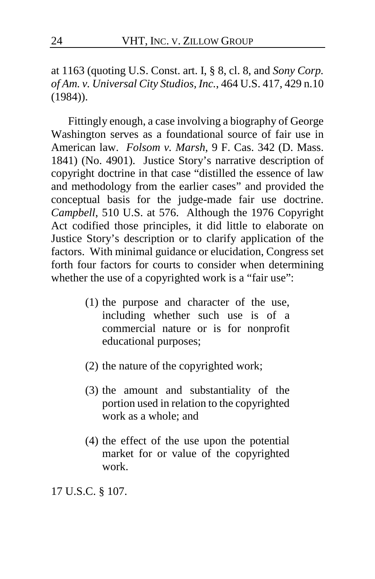at 1163 (quoting U.S. Const. art. I, § 8, cl. 8, and *Sony Corp. of Am. v. Universal City Studios, Inc.*, 464 U.S. 417, 429 n.10 (1984)).

Fittingly enough, a case involving a biography of George Washington serves as a foundational source of fair use in American law. *Folsom v. Marsh*, 9 F. Cas. 342 (D. Mass. 1841) (No. 4901). Justice Story's narrative description of copyright doctrine in that case "distilled the essence of law and methodology from the earlier cases" and provided the conceptual basis for the judge-made fair use doctrine. *Campbell*, 510 U.S. at 576. Although the 1976 Copyright Act codified those principles, it did little to elaborate on Justice Story's description or to clarify application of the factors. With minimal guidance or elucidation, Congress set forth four factors for courts to consider when determining whether the use of a copyrighted work is a "fair use":

- (1) the purpose and character of the use, including whether such use is of a commercial nature or is for nonprofit educational purposes;
- (2) the nature of the copyrighted work;
- (3) the amount and substantiality of the portion used in relation to the copyrighted work as a whole; and
- (4) the effect of the use upon the potential market for or value of the copyrighted work.

17 U.S.C. § 107.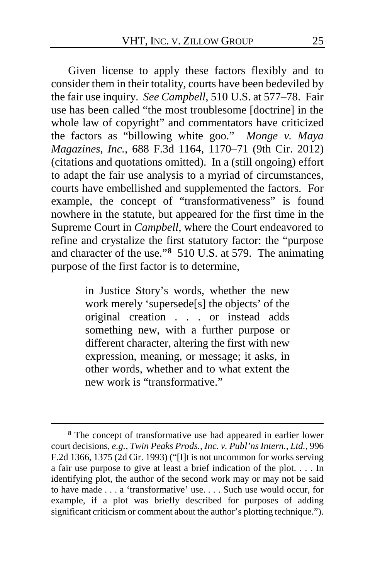Given license to apply these factors flexibly and to consider them in their totality, courts have been bedeviled by the fair use inquiry. *See Campbell*, 510 U.S. at 577–78. Fair use has been called "the most troublesome [doctrine] in the whole law of copyright" and commentators have criticized the factors as "billowing white goo." *Monge v. Maya Magazines, Inc.*, 688 F.3d 1164, 1170–71 (9th Cir. 2012) (citations and quotations omitted). In a (still ongoing) effort to adapt the fair use analysis to a myriad of circumstances, courts have embellished and supplemented the factors. For example, the concept of "transformativeness" is found nowhere in the statute, but appeared for the first time in the Supreme Court in *Campbell*, where the Court endeavored to refine and crystalize the first statutory factor: the "purpose and character of the use."**[8](#page-24-0)** 510 U.S. at 579. The animating purpose of the first factor is to determine,

> in Justice Story's words, whether the new work merely 'supersede[s] the objects' of the original creation . . . or instead adds something new, with a further purpose or different character, altering the first with new expression, meaning, or message; it asks, in other words, whether and to what extent the new work is "transformative."

<span id="page-24-0"></span>**<sup>8</sup>** The concept of transformative use had appeared in earlier lower court decisions, *e.g.*, *Twin Peaks Prods., Inc. v. Publ'ns Intern., Ltd.*, 996 F.2d 1366, 1375 (2d Cir. 1993) ("[I]t is not uncommon for works serving a fair use purpose to give at least a brief indication of the plot. . . . In identifying plot, the author of the second work may or may not be said to have made . . . a 'transformative' use. *. . .* Such use would occur, for example, if a plot was briefly described for purposes of adding significant criticism or comment about the author's plotting technique.").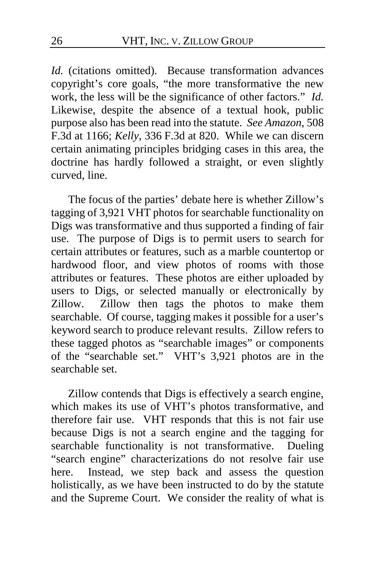*Id.* (citations omitted). Because transformation advances copyright's core goals, "the more transformative the new work, the less will be the significance of other factors." *Id.* Likewise, despite the absence of a textual hook, public purpose also has been read into the statute. *See Amazon*, 508 F.3d at 1166; *Kelly*, 336 F.3d at 820. While we can discern certain animating principles bridging cases in this area, the doctrine has hardly followed a straight, or even slightly curved, line.

The focus of the parties' debate here is whether Zillow's tagging of 3,921 VHT photos for searchable functionality on Digs was transformative and thus supported a finding of fair use. The purpose of Digs is to permit users to search for certain attributes or features, such as a marble countertop or hardwood floor, and view photos of rooms with those attributes or features.These photos are either uploaded by users to Digs, or selected manually or electronically by Zillow. Zillow then tags the photos to make them searchable.Of course, tagging makes it possible for a user's keyword search to produce relevant results. Zillow refers to these tagged photos as "searchable images" or components of the "searchable set." VHT's 3,921 photos are in the searchable set.

Zillow contends that Digs is effectively a search engine, which makes its use of VHT's photos transformative, and therefore fair use. VHT responds that this is not fair use because Digs is not a search engine and the tagging for searchable functionality is not transformative. Dueling "search engine" characterizations do not resolve fair use here. Instead, we step back and assess the question holistically, as we have been instructed to do by the statute and the Supreme Court. We consider the reality of what is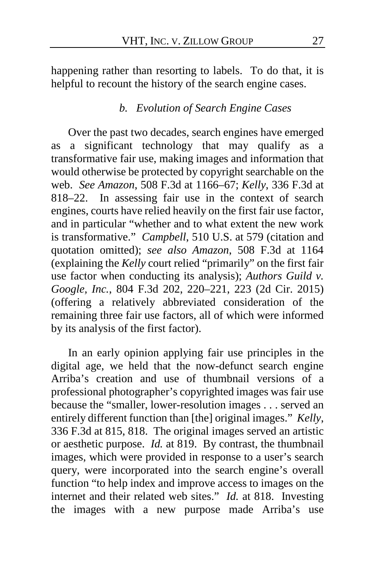happening rather than resorting to labels. To do that, it is helpful to recount the history of the search engine cases.

#### *b. Evolution of Search Engine Cases*

Over the past two decades, search engines have emerged as a significant technology that may qualify as a transformative fair use, making images and information that would otherwise be protected by copyright searchable on the web. *See Amazon*, 508 F.3d at 1166–67; *Kelly*, 336 F.3d at 818–22. In assessing fair use in the context of search engines, courts have relied heavily on the first fair use factor, and in particular "whether and to what extent the new work is transformative." *Campbell*, 510 U.S. at 579 (citation and quotation omitted); *see also Amazon*, 508 F.3d at 1164 (explaining the *Kelly* court relied "primarily" on the first fair use factor when conducting its analysis); *Authors Guild v. Google, Inc.*, 804 F.3d 202, 220–221, 223 (2d Cir. 2015) (offering a relatively abbreviated consideration of the remaining three fair use factors, all of which were informed by its analysis of the first factor).

In an early opinion applying fair use principles in the digital age, we held that the now-defunct search engine Arriba's creation and use of thumbnail versions of a professional photographer's copyrighted images was fair use because the "smaller, lower-resolution images . . . served an entirely different function than [the] original images." *Kelly*, 336 F.3d at 815, 818. The original images served an artistic or aesthetic purpose. *Id.* at 819. By contrast, the thumbnail images, which were provided in response to a user's search query, were incorporated into the search engine's overall function "to help index and improve access to images on the internet and their related web sites." *Id.* at 818. Investing the images with a new purpose made Arriba's use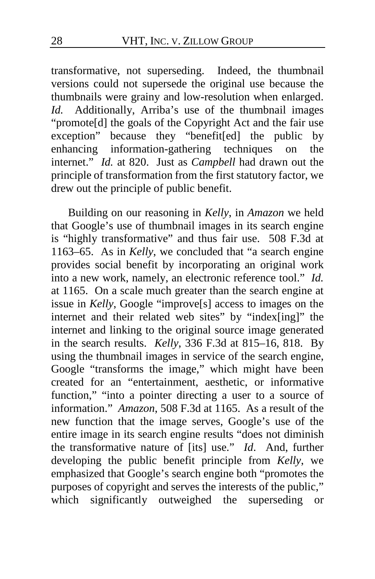transformative, not superseding.Indeed, the thumbnail versions could not supersede the original use because the thumbnails were grainy and low-resolution when enlarged. *Id.* Additionally, Arriba's use of the thumbnail images "promote[d] the goals of the Copyright Act and the fair use exception" because they "benefit[ed] the public by enhancing information-gathering techniques on the internet." *Id.* at 820. Just as *Campbell* had drawn out the principle of transformation from the first statutory factor, we drew out the principle of public benefit.

Building on our reasoning in *Kelly*, in *Amazon* we held that Google's use of thumbnail images in its search engine is "highly transformative" and thus fair use. 508 F.3d at 1163–65. As in *Kelly*, we concluded that "a search engine provides social benefit by incorporating an original work into a new work, namely, an electronic reference tool." *Id.* at 1165. On a scale much greater than the search engine at issue in *Kelly*, Google "improve[s] access to images on the internet and their related web sites" by "index[ing]" the internet and linking to the original source image generated in the search results. *Kelly*, 336 F.3d at 815–16, 818. By using the thumbnail images in service of the search engine, Google "transforms the image," which might have been created for an "entertainment, aesthetic, or informative function," "into a pointer directing a user to a source of information." *Amazon*, 508 F.3d at 1165. As a result of the new function that the image serves, Google's use of the entire image in its search engine results "does not diminish the transformative nature of [its] use." *Id*. And, further developing the public benefit principle from *Kelly*, we emphasized that Google's search engine both "promotes the purposes of copyright and serves the interests of the public," which significantly outweighed the superseding or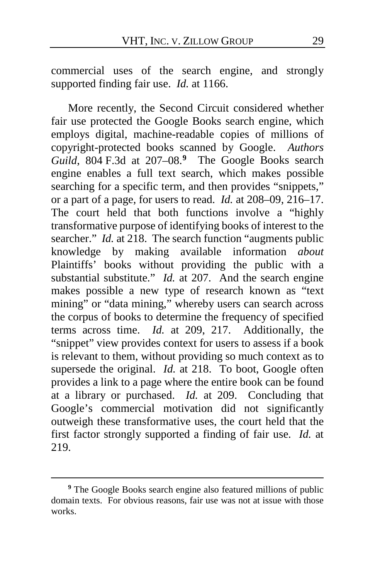commercial uses of the search engine, and strongly supported finding fair use. *Id.* at 1166.

More recently, the Second Circuit considered whether fair use protected the Google Books search engine, which employs digital, machine-readable copies of millions of copyright-protected books scanned by Google. *Authors Guild*, 804 F.3d at 207–08.**[9](#page-28-0)** The Google Books search engine enables a full text search, which makes possible searching for a specific term, and then provides "snippets," or a part of a page, for users to read. *Id.* at 208–09, 216–17. The court held that both functions involve a "highly transformative purpose of identifying books of interest to the searcher." *Id.* at 218. The search function "augments public knowledge by making available information *about* Plaintiffs' books without providing the public with a substantial substitute." *Id.* at 207. And the search engine makes possible a new type of research known as "text mining" or "data mining," whereby users can search across the corpus of books to determine the frequency of specified terms across time. *Id.* at 209, 217.Additionally, the "snippet" view provides context for users to assess if a book is relevant to them, without providing so much context as to supersede the original. *Id.* at 218. To boot, Google often provides a link to a page where the entire book can be found at a library or purchased. *Id.* at 209. Concluding that Google's commercial motivation did not significantly outweigh these transformative uses, the court held that the first factor strongly supported a finding of fair use. *Id.* at 219.

<span id="page-28-0"></span>**<sup>9</sup>** The Google Books search engine also featured millions of public domain texts. For obvious reasons, fair use was not at issue with those works.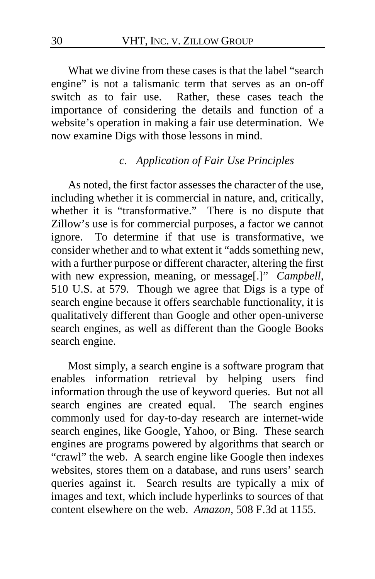What we divine from these cases is that the label "search engine" is not a talismanic term that serves as an on-off switch as to fair use. Rather, these cases teach the importance of considering the details and function of a website's operation in making a fair use determination. We now examine Digs with those lessons in mind.

# *c. Application of Fair Use Principles*

As noted, the first factor assesses the character of the use, including whether it is commercial in nature, and, critically, whether it is "transformative." There is no dispute that Zillow's use is for commercial purposes, a factor we cannot ignore. To determine if that use is transformative, we consider whether and to what extent it "adds something new, with a further purpose or different character, altering the first with new expression, meaning, or message[.]" *Campbell*, 510 U.S. at 579. Though we agree that Digs is a type of search engine because it offers searchable functionality, it is qualitatively different than Google and other open-universe search engines, as well as different than the Google Books search engine.

Most simply, a search engine is a software program that enables information retrieval by helping users find information through the use of keyword queries. But not all search engines are created equal. The search engines commonly used for day-to-day research are internet-wide search engines, like Google, Yahoo, or Bing. These search engines are programs powered by algorithms that search or "crawl" the web. A search engine like Google then indexes websites, stores them on a database, and runs users' search queries against it. Search results are typically a mix of images and text, which include hyperlinks to sources of that content elsewhere on the web. *Amazon*, 508 F.3d at 1155.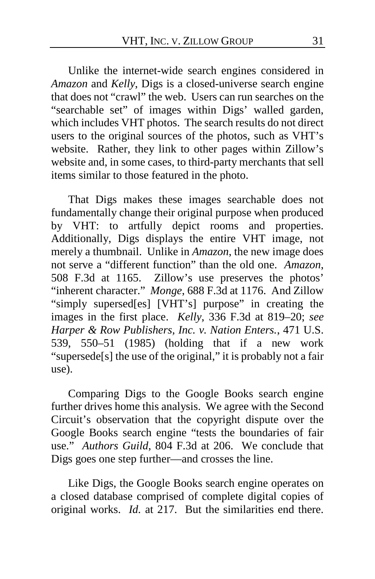Unlike the internet-wide search engines considered in *Amazon* and *Kelly*, Digs is a closed-universe search engine that does not "crawl" the web. Users can run searches on the "searchable set" of images within Digs' walled garden, which includes VHT photos. The search results do not direct users to the original sources of the photos, such as VHT's website. Rather, they link to other pages within Zillow's website and, in some cases, to third-party merchants that sell items similar to those featured in the photo.

That Digs makes these images searchable does not fundamentally change their original purpose when produced by VHT: to artfully depict rooms and properties. Additionally, Digs displays the entire VHT image, not merely a thumbnail. Unlike in *Amazon*, the new image does not serve a "different function" than the old one. *Amazon*, 508 F.3d at 1165. Zillow's use preserves the photos' "inherent character." *Monge*, 688 F.3d at 1176. And Zillow "simply supersed[es] [VHT's] purpose" in creating the images in the first place. *Kelly*, 336 F.3d at 819–20; *see Harper & Row Publishers, Inc. v. Nation Enters.*, 471 U.S. 539, 550–51 (1985) (holding that if a new work "supersede[s] the use of the original," it is probably not a fair use).

Comparing Digs to the Google Books search engine further drives home this analysis. We agree with the Second Circuit's observation that the copyright dispute over the Google Books search engine "tests the boundaries of fair use." *Authors Guild*, 804 F.3d at 206. We conclude that Digs goes one step further—and crosses the line.

Like Digs, the Google Books search engine operates on a closed database comprised of complete digital copies of original works. *Id.* at 217. But the similarities end there.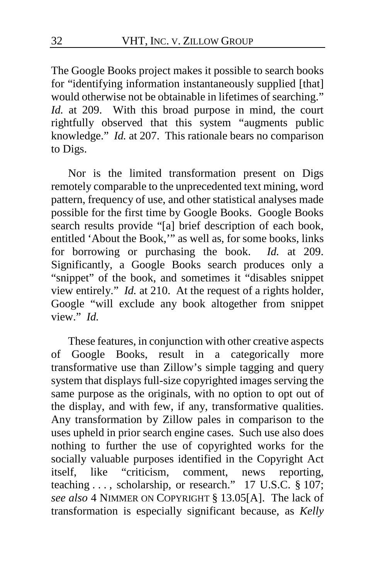The Google Books project makes it possible to search books for "identifying information instantaneously supplied [that] would otherwise not be obtainable in lifetimes of searching." *Id.* at 209. With this broad purpose in mind, the court rightfully observed that this system "augments public knowledge." *Id.* at 207. This rationale bears no comparison to Digs.

Nor is the limited transformation present on Digs remotely comparable to the unprecedented text mining, word pattern, frequency of use, and other statistical analyses made possible for the first time by Google Books. Google Books search results provide "[a] brief description of each book, entitled 'About the Book,'" as well as, for some books, links for borrowing or purchasing the book. *Id.* at 209. Significantly, a Google Books search produces only a "snippet" of the book, and sometimes it "disables snippet view entirely." *Id.* at 210. At the request of a rights holder, Google "will exclude any book altogether from snippet view." *Id.* 

These features, in conjunction with other creative aspects of Google Books, result in a categorically more transformative use than Zillow's simple tagging and query system that displays full-size copyrighted images serving the same purpose as the originals, with no option to opt out of the display, and with few, if any, transformative qualities. Any transformation by Zillow pales in comparison to the uses upheld in prior search engine cases. Such use also does nothing to further the use of copyrighted works for the socially valuable purposes identified in the Copyright Act itself, like "criticism, comment, news reporting, itself, like "criticism, comment, news reporting, teaching ..., scholarship, or research." 17 U.S.C. § 107; *see also* 4 NIMMER ON COPYRIGHT § 13.05[A]. The lack of transformation is especially significant because, as *Kelly*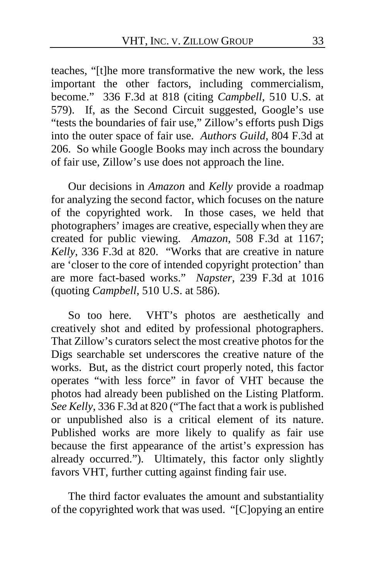teaches, "[t]he more transformative the new work, the less important the other factors, including commercialism, become." 336 F.3d at 818 (citing *Campbell*, 510 U.S. at 579). If, as the Second Circuit suggested, Google's use "tests the boundaries of fair use," Zillow's efforts push Digs into the outer space of fair use. *Authors Guild*, 804 F.3d at 206. So while Google Books may inch across the boundary of fair use, Zillow's use does not approach the line.

Our decisions in *Amazon* and *Kelly* provide a roadmap for analyzing the second factor, which focuses on the nature of the copyrighted work. In those cases, we held that photographers' images are creative, especially when they are created for public viewing. *Amazon*, 508 F.3d at 1167; *Kelly*, 336 F.3d at 820. "Works that are creative in nature are 'closer to the core of intended copyright protection' than are more fact-based works." *Napster*, 239 F.3d at 1016 (quoting *Campbell*, 510 U.S. at 586).

So too here. VHT's photos are aesthetically and creatively shot and edited by professional photographers. That Zillow's curators select the most creative photos for the Digs searchable set underscores the creative nature of the works. But, as the district court properly noted, this factor operates "with less force" in favor of VHT because the photos had already been published on the Listing Platform. *See Kelly*, 336 F.3d at 820 ("The fact that a work is published or unpublished also is a critical element of its nature. Published works are more likely to qualify as fair use because the first appearance of the artist's expression has already occurred."). Ultimately, this factor only slightly favors VHT, further cutting against finding fair use.

The third factor evaluates the amount and substantiality of the copyrighted work that was used. "[C]opying an entire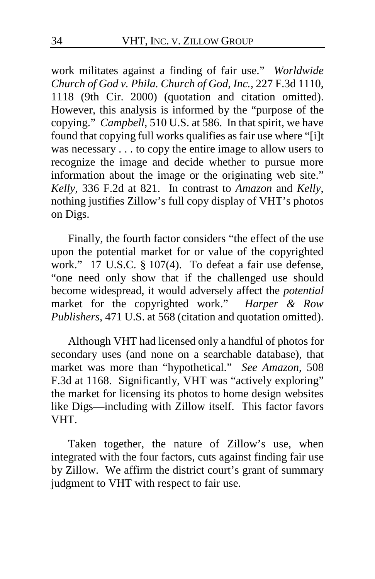work militates against a finding of fair use." *Worldwide Church of God v. Phila. Church of God, Inc.*, 227 F.3d 1110, 1118 (9th Cir. 2000) (quotation and citation omitted). However, this analysis is informed by the "purpose of the copying." *Campbell*, 510 U.S. at 586. In that spirit, we have found that copying full works qualifies as fair use where "[i]t was necessary . . . to copy the entire image to allow users to recognize the image and decide whether to pursue more information about the image or the originating web site." *Kelly*, 336 F.2d at 821. In contrast to *Amazon* and *Kelly*, nothing justifies Zillow's full copy display of VHT's photos on Digs.

Finally, the fourth factor considers "the effect of the use upon the potential market for or value of the copyrighted work." 17 U.S.C. § 107(4). To defeat a fair use defense, "one need only show that if the challenged use should become widespread, it would adversely affect the *potential* market for the copyrighted work." *Harper & Row Publishers*, 471 U.S. at 568 (citation and quotation omitted).

Although VHT had licensed only a handful of photos for secondary uses (and none on a searchable database), that market was more than "hypothetical." *See Amazon*, 508 F.3d at 1168. Significantly, VHT was "actively exploring" the market for licensing its photos to home design websites like Digs—including with Zillow itself.This factor favors VHT.

Taken together, the nature of Zillow's use, when integrated with the four factors, cuts against finding fair use by Zillow. We affirm the district court's grant of summary judgment to VHT with respect to fair use.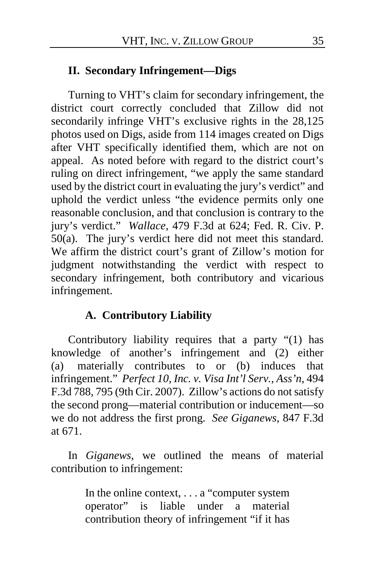#### **II. Secondary Infringement—Digs**

Turning to VHT's claim for secondary infringement, the district court correctly concluded that Zillow did not secondarily infringe VHT's exclusive rights in the 28,125 photos used on Digs, aside from 114 images created on Digs after VHT specifically identified them, which are not on appeal.As noted before with regard to the district court's ruling on direct infringement, "we apply the same standard used by the district court in evaluating the jury's verdict" and uphold the verdict unless "the evidence permits only one reasonable conclusion, and that conclusion is contrary to the jury's verdict." *Wallace*, 479 F.3d at 624; Fed. R. Civ. P. 50(a). The jury's verdict here did not meet this standard. We affirm the district court's grant of Zillow's motion for judgment notwithstanding the verdict with respect to secondary infringement, both contributory and vicarious infringement.

#### **A. Contributory Liability**

Contributory liability requires that a party "(1) has knowledge of another's infringement and (2) either (a) materially contributes to or (b) induces that infringement." *Perfect 10, Inc. v. Visa Int'l Serv., Ass'n*, 494 F.3d 788, 795 (9th Cir. 2007). Zillow's actions do not satisfy the second prong—material contribution or inducement—so we do not address the first prong. *See Giganews*, 847 F.3d at 671.

In *Giganews*, we outlined the means of material contribution to infringement:

> In the online context, . . . a "computer system operator" is liable under a material contribution theory of infringement "if it has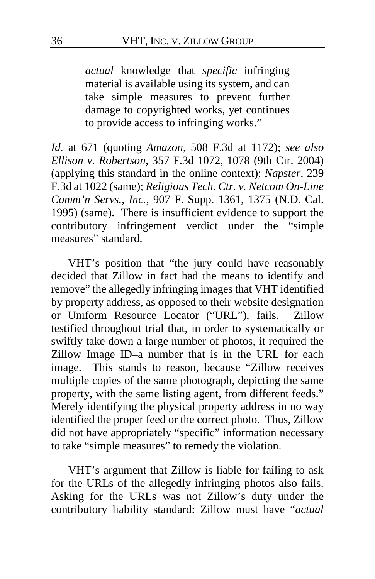*actual* knowledge that *specific* infringing material is available using its system, and can take simple measures to prevent further damage to copyrighted works, yet continues to provide access to infringing works."

*Id.* at 671 (quoting *Amazon*, 508 F.3d at 1172); *see also Ellison v. Robertson*, 357 F.3d 1072, 1078 (9th Cir. 2004) (applying this standard in the online context); *Napster*, 239 F.3d at 1022 (same); *Religious Tech. Ctr. v. Netcom On-Line Comm'n Servs., Inc.*, 907 F. Supp. 1361, 1375 (N.D. Cal. 1995) (same). There is insufficient evidence to support the contributory infringement verdict under the "simple measures" standard.

VHT's position that "the jury could have reasonably decided that Zillow in fact had the means to identify and remove" the allegedly infringing images that VHT identified by property address, as opposed to their website designation or Uniform Resource Locator ("URL"), fails.Zillow testified throughout trial that, in order to systematically or swiftly take down a large number of photos, it required the Zillow Image ID–a number that is in the URL for each image.This stands to reason, because "Zillow receives multiple copies of the same photograph, depicting the same property, with the same listing agent, from different feeds." Merely identifying the physical property address in no way identified the proper feed or the correct photo. Thus, Zillow did not have appropriately "specific" information necessary to take "simple measures" to remedy the violation.

VHT's argument that Zillow is liable for failing to ask for the URLs of the allegedly infringing photos also fails. Asking for the URLs was not Zillow's duty under the contributory liability standard: Zillow must have "*actual*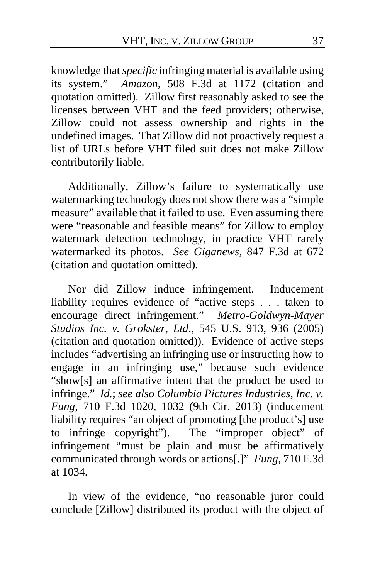knowledge that *specific* infringing material is available using its system." *Amazon*, 508 F.3d at 1172 (citation and quotation omitted). Zillow first reasonably asked to see the licenses between VHT and the feed providers; otherwise, Zillow could not assess ownership and rights in the undefined images.That Zillow did not proactively request a list of URLs before VHT filed suit does not make Zillow contributorily liable.

Additionally, Zillow's failure to systematically use watermarking technology does not show there was a "simple measure" available that it failed to use. Even assuming there were "reasonable and feasible means" for Zillow to employ watermark detection technology, in practice VHT rarely watermarked its photos.*See Giganews*, 847 F.3d at 672 (citation and quotation omitted).

Nor did Zillow induce infringement. Inducement liability requires evidence of "active steps . . . taken to encourage direct infringement." *Metro-Goldwyn-Mayer Studios Inc. v. Grokster, Ltd*., 545 U.S. 913, 936 (2005) (citation and quotation omitted)). Evidence of active steps includes "advertising an infringing use or instructing how to engage in an infringing use," because such evidence "show[s] an affirmative intent that the product be used to infringe." *Id.*; *see also Columbia Pictures Industries, Inc. v. Fung*, 710 F.3d 1020, 1032 (9th Cir. 2013) (inducement liability requires "an object of promoting [the product's] use to infringe copyright"). The "improper object" of infringement "must be plain and must be affirmatively communicated through words or actions[.]" *Fung*, 710 F.3d at 1034.

In view of the evidence, "no reasonable juror could conclude [Zillow] distributed its product with the object of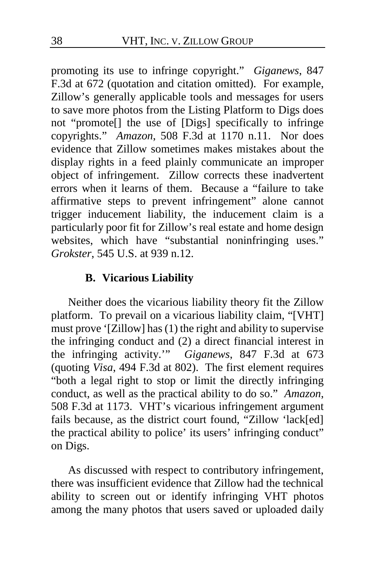promoting its use to infringe copyright." *Giganews*, 847 F.3d at 672 (quotation and citation omitted). For example, Zillow's generally applicable tools and messages for users to save more photos from the Listing Platform to Digs does not "promote[] the use of [Digs] specifically to infringe copyrights." *Amazon*, 508 F.3d at 1170 n.11.Nor does evidence that Zillow sometimes makes mistakes about the display rights in a feed plainly communicate an improper object of infringement. Zillow corrects these inadvertent errors when it learns of them.Because a "failure to take affirmative steps to prevent infringement" alone cannot trigger inducement liability, the inducement claim is a particularly poor fit for Zillow's real estate and home design websites, which have "substantial noninfringing uses." *Grokster*, 545 U.S. at 939 n.12.

# **B. Vicarious Liability**

Neither does the vicarious liability theory fit the Zillow platform. To prevail on a vicarious liability claim, "[VHT] must prove '[Zillow] has (1) the right and ability to supervise the infringing conduct and (2) a direct financial interest in the infringing activity.'" *Giganews*, 847 F.3d at 673 (quoting *Visa*, 494 F.3d at 802). The first element requires "both a legal right to stop or limit the directly infringing conduct, as well as the practical ability to do so." *Amazon*, 508 F.3d at 1173. VHT's vicarious infringement argument fails because, as the district court found, "Zillow 'lack[ed] the practical ability to police' its users' infringing conduct" on Digs.

As discussed with respect to contributory infringement, there was insufficient evidence that Zillow had the technical ability to screen out or identify infringing VHT photos among the many photos that users saved or uploaded daily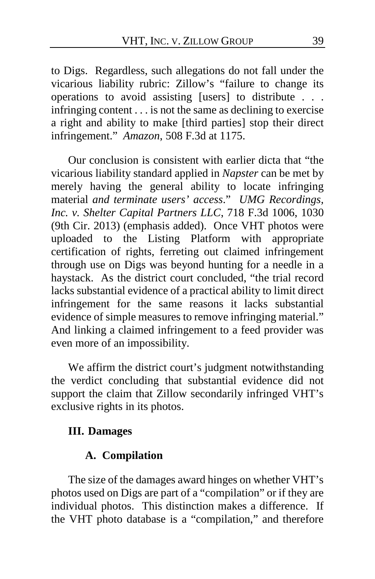to Digs. Regardless, such allegations do not fall under the vicarious liability rubric: Zillow's "failure to change its operations to avoid assisting [users] to distribute . . . infringing content . . . is not the same as declining to exercise a right and ability to make [third parties] stop their direct infringement." *Amazon*, 508 F.3d at 1175.

Our conclusion is consistent with earlier dicta that "the vicarious liability standard applied in *Napster* can be met by merely having the general ability to locate infringing material *and terminate users' access*." *UMG Recordings, Inc. v. Shelter Capital Partners LLC*, 718 F.3d 1006, 1030 (9th Cir. 2013) (emphasis added). Once VHT photos were uploaded to the Listing Platform with appropriate certification of rights, ferreting out claimed infringement through use on Digs was beyond hunting for a needle in a haystack. As the district court concluded, "the trial record lacks substantial evidence of a practical ability to limit direct infringement for the same reasons it lacks substantial evidence of simple measures to remove infringing material." And linking a claimed infringement to a feed provider was even more of an impossibility.

We affirm the district court's judgment notwithstanding the verdict concluding that substantial evidence did not support the claim that Zillow secondarily infringed VHT's exclusive rights in its photos.

# **III. Damages**

#### **A. Compilation**

The size of the damages award hinges on whether VHT's photos used on Digs are part of a "compilation" or if they are individual photos. This distinction makes a difference. If the VHT photo database is a "compilation," and therefore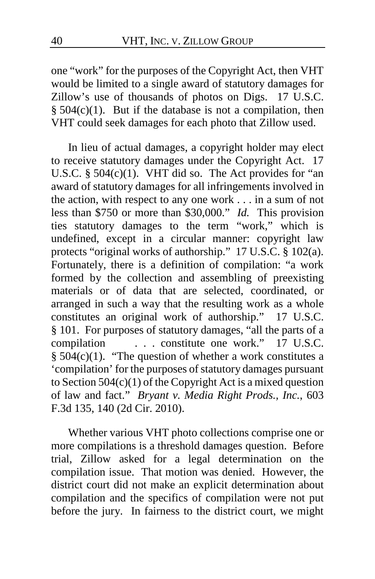one "work" for the purposes of the Copyright Act, then VHT would be limited to a single award of statutory damages for Zillow's use of thousands of photos on Digs. 17 U.S.C.  $§ 504(c)(1)$ . But if the database is not a compilation, then VHT could seek damages for each photo that Zillow used.

In lieu of actual damages, a copyright holder may elect to receive statutory damages under the Copyright Act. 17 U.S.C.  $\S$  504(c)(1). VHT did so. The Act provides for "an award of statutory damages for all infringements involved in the action, with respect to any one work . . . in a sum of not less than \$750 or more than \$30,000." *Id.* This provision ties statutory damages to the term "work," which is undefined, except in a circular manner: copyright law protects "original works of authorship." 17 U.S.C. § 102(a). Fortunately, there is a definition of compilation: "a work formed by the collection and assembling of preexisting materials or of data that are selected, coordinated, or arranged in such a way that the resulting work as a whole constitutes an original work of authorship." 17 U.S.C. § 101. For purposes of statutory damages, "all the parts of a compilation . . . constitute one work." 17 U.S.C. § 504(c)(1). "The question of whether a work constitutes a 'compilation' for the purposes of statutory damages pursuant to Section 504(c)(1) of the Copyright Act is a mixed question of law and fact." *Bryant v. Media Right Prods., Inc.*, 603 F.3d 135, 140 (2d Cir. 2010).

Whether various VHT photo collections comprise one or more compilations is a threshold damages question. Before trial, Zillow asked for a legal determination on the compilation issue.That motion was denied. However, the district court did not make an explicit determination about compilation and the specifics of compilation were not put before the jury. In fairness to the district court, we might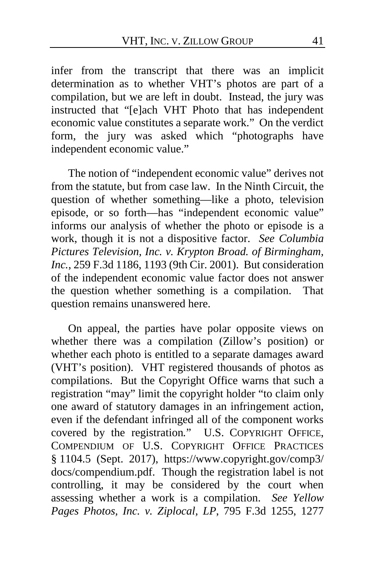infer from the transcript that there was an implicit determination as to whether VHT's photos are part of a compilation, but we are left in doubt. Instead, the jury was instructed that "[e]ach VHT Photo that has independent economic value constitutes a separate work." On the verdict form, the jury was asked which "photographs have independent economic value."

The notion of "independent economic value" derives not from the statute, but from case law. In the Ninth Circuit, the question of whether something—like a photo, television episode, or so forth—has "independent economic value" informs our analysis of whether the photo or episode is a work, though it is not a dispositive factor. *See Columbia Pictures Television, Inc. v. Krypton Broad. of Birmingham, Inc.*, 259 F.3d 1186, 1193 (9th Cir. 2001). But consideration of the independent economic value factor does not answer the question whether something is a compilation. That question remains unanswered here.

On appeal, the parties have polar opposite views on whether there was a compilation (Zillow's position) or whether each photo is entitled to a separate damages award (VHT's position). VHT registered thousands of photos as compilations. But the Copyright Office warns that such a registration "may" limit the copyright holder "to claim only one award of statutory damages in an infringement action, even if the defendant infringed all of the component works covered by the registration*.*" U.S. COPYRIGHT OFFICE, COMPENDIUM OF U.S. COPYRIGHT OFFICE PRACTICES § 1104.5 (Sept. 2017), https://www.copyright.gov/comp3/ docs/compendium.pdf. Though the registration label is not controlling, it may be considered by the court when assessing whether a work is a compilation. *See Yellow Pages Photos, Inc. v. Ziplocal, LP*, 795 F.3d 1255, 1277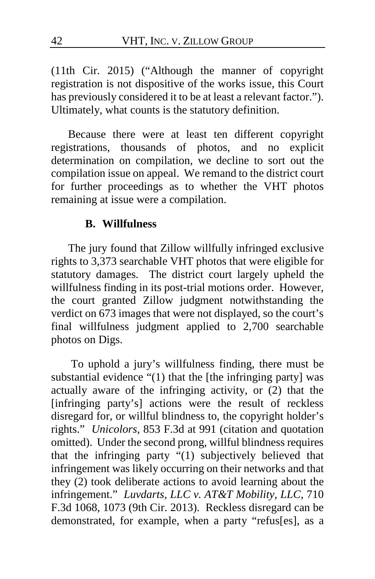(11th Cir. 2015) ("Although the manner of copyright registration is not dispositive of the works issue, this Court has previously considered it to be at least a relevant factor."). Ultimately, what counts is the statutory definition.

Because there were at least ten different copyright registrations, thousands of photos, and no explicit determination on compilation, we decline to sort out the compilation issue on appeal. We remand to the district court for further proceedings as to whether the VHT photos remaining at issue were a compilation.

#### **B. Willfulness**

The jury found that Zillow willfully infringed exclusive rights to 3,373 searchable VHT photos that were eligible for statutory damages.The district court largely upheld the willfulness finding in its post-trial motions order. However, the court granted Zillow judgment notwithstanding the verdict on 673 images that were not displayed, so the court's final willfulness judgment applied to 2,700 searchable photos on Digs.

To uphold a jury's willfulness finding, there must be substantial evidence "(1) that the [the infringing party] was actually aware of the infringing activity, or (2) that the [infringing party's] actions were the result of reckless disregard for, or willful blindness to, the copyright holder's rights." *Unicolors*, 853 F.3d at 991 (citation and quotation omitted). Under the second prong, willful blindness requires that the infringing party "(1) subjectively believed that infringement was likely occurring on their networks and that they (2) took deliberate actions to avoid learning about the infringement." *Luvdarts, LLC v. AT&T Mobility, LLC*, 710 F.3d 1068, 1073 (9th Cir. 2013). Reckless disregard can be demonstrated, for example, when a party "refus[es], as a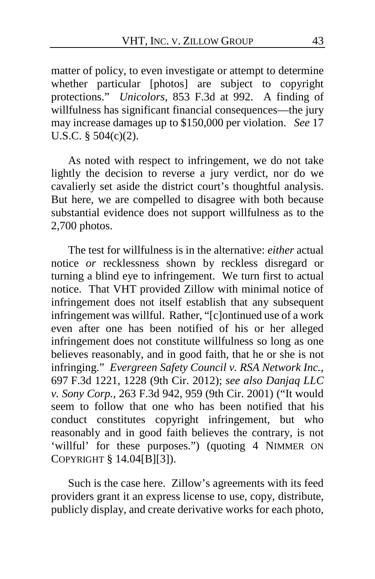matter of policy, to even investigate or attempt to determine whether particular [photos] are subject to copyright protections." *Unicolors*, 853 F.3d at 992. A finding of willfulness has significant financial consequences—the jury may increase damages up to \$150,000 per violation. *See* 17 U.S.C. § 504(c)(2).

As noted with respect to infringement, we do not take lightly the decision to reverse a jury verdict, nor do we cavalierly set aside the district court's thoughtful analysis. But here, we are compelled to disagree with both because substantial evidence does not support willfulness as to the 2,700 photos.

The test for willfulness is in the alternative: *either* actual notice *or* recklessness shown by reckless disregard or turning a blind eye to infringement. We turn first to actual notice. That VHT provided Zillow with minimal notice of infringement does not itself establish that any subsequent infringement was willful. Rather, "[c]ontinued use of a work even after one has been notified of his or her alleged infringement does not constitute willfulness so long as one believes reasonably, and in good faith, that he or she is not infringing." *Evergreen Safety Council v. RSA Network Inc.*, 697 F.3d 1221, 1228 (9th Cir. 2012); *see also Danjaq LLC v. Sony Corp.*, 263 F.3d 942, 959 (9th Cir. 2001) ("It would seem to follow that one who has been notified that his conduct constitutes copyright infringement, but who reasonably and in good faith believes the contrary, is not 'willful' for these purposes.") (quoting 4 NIMMER ON COPYRIGHT § 14.04[B][3]).

Such is the case here. Zillow's agreements with its feed providers grant it an express license to use, copy, distribute, publicly display, and create derivative works for each photo,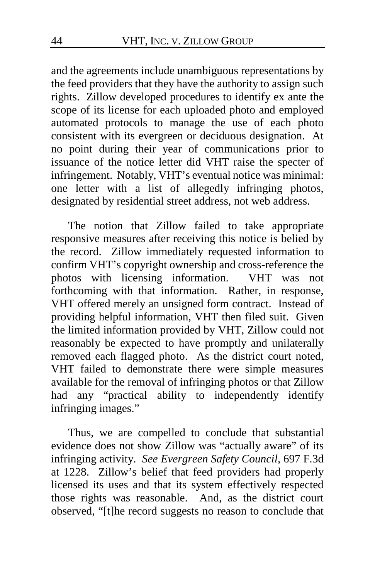and the agreements include unambiguous representations by the feed providers that they have the authority to assign such rights.Zillow developed procedures to identify ex ante the scope of its license for each uploaded photo and employed automated protocols to manage the use of each photo consistent with its evergreen or deciduous designation. At no point during their year of communications prior to issuance of the notice letter did VHT raise the specter of infringement. Notably, VHT's eventual notice was minimal: one letter with a list of allegedly infringing photos, designated by residential street address, not web address.

The notion that Zillow failed to take appropriate responsive measures after receiving this notice is belied by the record. Zillow immediately requested information to confirm VHT's copyright ownership and cross-reference the photos with licensing information. VHT was not forthcoming with that information. Rather, in response, VHT offered merely an unsigned form contract. Instead of providing helpful information, VHT then filed suit. Given the limited information provided by VHT, Zillow could not reasonably be expected to have promptly and unilaterally removed each flagged photo. As the district court noted, VHT failed to demonstrate there were simple measures available for the removal of infringing photos or that Zillow had any "practical ability to independently identify infringing images."

Thus, we are compelled to conclude that substantial evidence does not show Zillow was "actually aware" of its infringing activity. *See Evergreen Safety Council*, 697 F.3d at 1228. Zillow's belief that feed providers had properly licensed its uses and that its system effectively respected those rights was reasonable. And, as the district court observed, "[t]he record suggests no reason to conclude that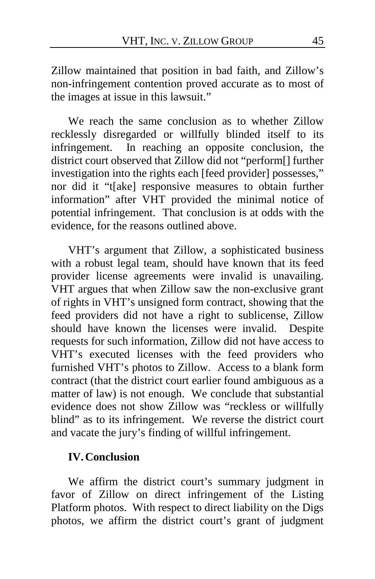Zillow maintained that position in bad faith, and Zillow's non-infringement contention proved accurate as to most of the images at issue in this lawsuit."

We reach the same conclusion as to whether Zillow recklessly disregarded or willfully blinded itself to its infringement. In reaching an opposite conclusion, the district court observed that Zillow did not "perform[] further investigation into the rights each [feed provider] possesses," nor did it "t[ake] responsive measures to obtain further information" after VHT provided the minimal notice of potential infringement.That conclusion is at odds with the evidence, for the reasons outlined above.

VHT's argument that Zillow, a sophisticated business with a robust legal team, should have known that its feed provider license agreements were invalid is unavailing. VHT argues that when Zillow saw the non-exclusive grant of rights in VHT's unsigned form contract, showing that the feed providers did not have a right to sublicense, Zillow should have known the licenses were invalid.Despite requests for such information, Zillow did not have access to VHT's executed licenses with the feed providers who furnished VHT's photos to Zillow. Access to a blank form contract (that the district court earlier found ambiguous as a matter of law) is not enough. We conclude that substantial evidence does not show Zillow was "reckless or willfully blind" as to its infringement. We reverse the district court and vacate the jury's finding of willful infringement.

#### **IV.Conclusion**

We affirm the district court's summary judgment in favor of Zillow on direct infringement of the Listing Platform photos. With respect to direct liability on the Digs photos, we affirm the district court's grant of judgment